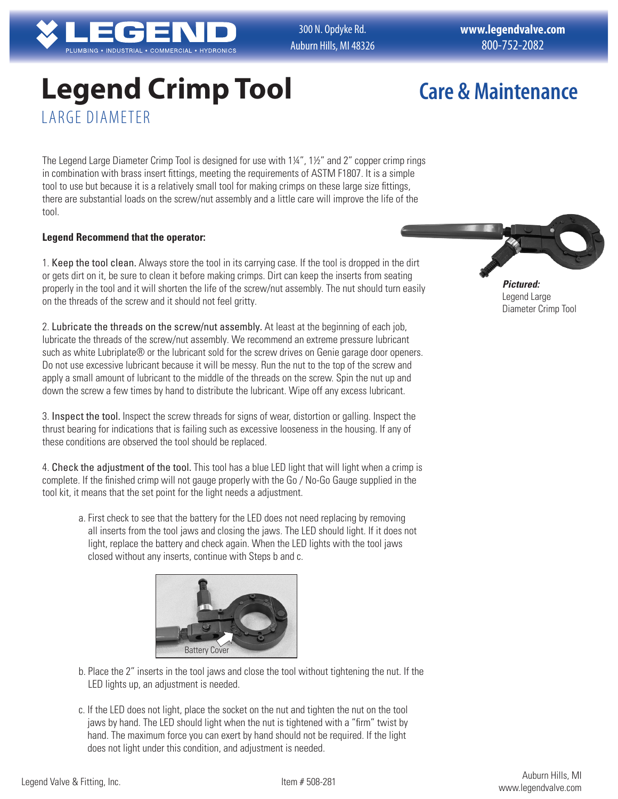

300 N. Opdyke Rd. Auburn Hills, MI 48326 **www.legendvalve.com** 800-752-2082

# **Legend Crimp Tool** LARGE DIAMETER

## **Care & Maintenance**

The Legend Large Diameter Crimp Tool is designed for use with 1¼", 1½" and 2" copper crimp rings in combination with brass insert fittings, meeting the requirements of ASTM F1807. It is a simple tool to use but because it is a relatively small tool for making crimps on these large size fittings, there are substantial loads on the screw/nut assembly and a little care will improve the life of the tool.

#### **Legend Recommend that the operator:**

1. Keep the tool clean. Always store the tool in its carrying case. If the tool is dropped in the dirt or gets dirt on it, be sure to clean it before making crimps. Dirt can keep the inserts from seating properly in the tool and it will shorten the life of the screw/nut assembly. The nut should turn easily on the threads of the screw and it should not feel gritty.

2. Lubricate the threads on the screw/nut assembly. At least at the beginning of each job, lubricate the threads of the screw/nut assembly. We recommend an extreme pressure lubricant such as white Lubriplate® or the lubricant sold for the screw drives on Genie garage door openers. Do not use excessive lubricant because it will be messy. Run the nut to the top of the screw and apply a small amount of lubricant to the middle of the threads on the screw. Spin the nut up and down the screw a few times by hand to distribute the lubricant. Wipe off any excess lubricant.

3. Inspect the tool. Inspect the screw threads for signs of wear, distortion or galling. Inspect the thrust bearing for indications that is failing such as excessive looseness in the housing. If any of these conditions are observed the tool should be replaced.

4. Check the adjustment of the tool. This tool has a blue LED light that will light when a crimp is complete. If the finished crimp will not gauge properly with the Go / No-Go Gauge supplied in the tool kit, it means that the set point for the light needs a adjustment.

a. First check to see that the battery for the LED does not need replacing by removing all inserts from the tool jaws and closing the jaws. The LED should light. If it does not light, replace the battery and check again. When the LED lights with the tool jaws closed without any inserts, continue with Steps b and c.



- b. Place the 2" inserts in the tool jaws and close the tool without tightening the nut. If the LED lights up, an adjustment is needed.
- c. If the LED does not light, place the socket on the nut and tighten the nut on the tool jaws by hand. The LED should light when the nut is tightened with a "firm" twist by hand. The maximum force you can exert by hand should not be required. If the light does not light under this condition, and adjustment is needed.



*Pictured:* Legend Large Diameter Crimp Tool